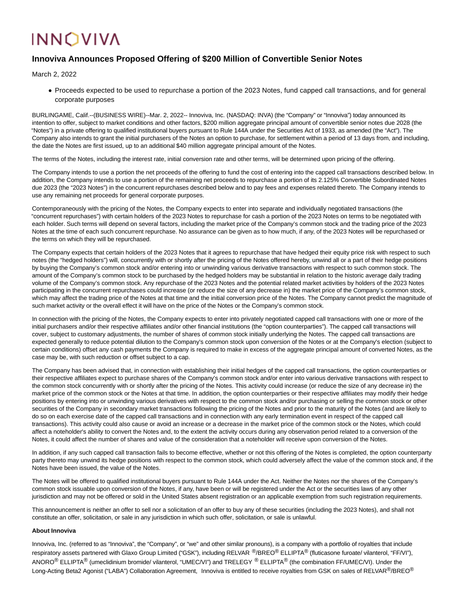## **INNOVIVA**

## **Innoviva Announces Proposed Offering of \$200 Million of Convertible Senior Notes**

March 2, 2022

Proceeds expected to be used to repurchase a portion of the 2023 Notes, fund capped call transactions, and for general corporate purposes

BURLINGAME, Calif.--(BUSINESS WIRE)--Mar. 2, 2022-- Innoviva, Inc. (NASDAQ: INVA) (the "Company" or "Innoviva") today announced its intention to offer, subject to market conditions and other factors, \$200 million aggregate principal amount of convertible senior notes due 2028 (the "Notes") in a private offering to qualified institutional buyers pursuant to Rule 144A under the Securities Act of 1933, as amended (the "Act"). The Company also intends to grant the initial purchasers of the Notes an option to purchase, for settlement within a period of 13 days from, and including, the date the Notes are first issued, up to an additional \$40 million aggregate principal amount of the Notes.

The terms of the Notes, including the interest rate, initial conversion rate and other terms, will be determined upon pricing of the offering.

The Company intends to use a portion the net proceeds of the offering to fund the cost of entering into the capped call transactions described below. In addition, the Company intends to use a portion of the remaining net proceeds to repurchase a portion of its 2.125% Convertible Subordinated Notes due 2023 (the "2023 Notes") in the concurrent repurchases described below and to pay fees and expenses related thereto. The Company intends to use any remaining net proceeds for general corporate purposes.

Contemporaneously with the pricing of the Notes, the Company expects to enter into separate and individually negotiated transactions (the "concurrent repurchases") with certain holders of the 2023 Notes to repurchase for cash a portion of the 2023 Notes on terms to be negotiated with each holder. Such terms will depend on several factors, including the market price of the Company's common stock and the trading price of the 2023 Notes at the time of each such concurrent repurchase. No assurance can be given as to how much, if any, of the 2023 Notes will be repurchased or the terms on which they will be repurchased.

The Company expects that certain holders of the 2023 Notes that it agrees to repurchase that have hedged their equity price risk with respect to such notes (the "hedged holders") will, concurrently with or shortly after the pricing of the Notes offered hereby, unwind all or a part of their hedge positions by buying the Company's common stock and/or entering into or unwinding various derivative transactions with respect to such common stock. The amount of the Company's common stock to be purchased by the hedged holders may be substantial in relation to the historic average daily trading volume of the Company's common stock. Any repurchase of the 2023 Notes and the potential related market activities by holders of the 2023 Notes participating in the concurrent repurchases could increase (or reduce the size of any decrease in) the market price of the Company's common stock, which may affect the trading price of the Notes at that time and the initial conversion price of the Notes. The Company cannot predict the magnitude of such market activity or the overall effect it will have on the price of the Notes or the Company's common stock.

In connection with the pricing of the Notes, the Company expects to enter into privately negotiated capped call transactions with one or more of the initial purchasers and/or their respective affiliates and/or other financial institutions (the "option counterparties"). The capped call transactions will cover, subject to customary adjustments, the number of shares of common stock initially underlying the Notes. The capped call transactions are expected generally to reduce potential dilution to the Company's common stock upon conversion of the Notes or at the Company's election (subject to certain conditions) offset any cash payments the Company is required to make in excess of the aggregate principal amount of converted Notes, as the case may be, with such reduction or offset subject to a cap.

The Company has been advised that, in connection with establishing their initial hedges of the capped call transactions, the option counterparties or their respective affiliates expect to purchase shares of the Company's common stock and/or enter into various derivative transactions with respect to the common stock concurrently with or shortly after the pricing of the Notes. This activity could increase (or reduce the size of any decrease in) the market price of the common stock or the Notes at that time. In addition, the option counterparties or their respective affiliates may modify their hedge positions by entering into or unwinding various derivatives with respect to the common stock and/or purchasing or selling the common stock or other securities of the Company in secondary market transactions following the pricing of the Notes and prior to the maturity of the Notes (and are likely to do so on each exercise date of the capped call transactions and in connection with any early termination event in respect of the capped call transactions). This activity could also cause or avoid an increase or a decrease in the market price of the common stock or the Notes, which could affect a noteholder's ability to convert the Notes and, to the extent the activity occurs during any observation period related to a conversion of the Notes, it could affect the number of shares and value of the consideration that a noteholder will receive upon conversion of the Notes.

In addition, if any such capped call transaction fails to become effective, whether or not this offering of the Notes is completed, the option counterparty party thereto may unwind its hedge positions with respect to the common stock, which could adversely affect the value of the common stock and, if the Notes have been issued, the value of the Notes.

The Notes will be offered to qualified institutional buyers pursuant to Rule 144A under the Act. Neither the Notes nor the shares of the Company's common stock issuable upon conversion of the Notes, if any, have been or will be registered under the Act or the securities laws of any other jurisdiction and may not be offered or sold in the United States absent registration or an applicable exemption from such registration requirements.

This announcement is neither an offer to sell nor a solicitation of an offer to buy any of these securities (including the 2023 Notes), and shall not constitute an offer, solicitation, or sale in any jurisdiction in which such offer, solicitation, or sale is unlawful.

## **About Innoviva**

Innoviva, Inc. (referred to as "Innoviva", the "Company", or "we" and other similar pronouns), is a company with a portfolio of royalties that include respiratory assets partnered with Glaxo Group Limited ("GSK"), including RELVAR <sup>@</sup>/BREO<sup>®</sup> ELLIPTA<sup>®</sup> (fluticasone furoate/ vilanterol, "FF/VI"), ANORO® ELLIPTA® (umeclidinium bromide/ vilanterol, "UMEC/VI") and TRELEGY ® ELLIPTA® (the combination FF/UMEC/VI). Under the Long-Acting Beta2 Agonist ("LABA") Collaboration Agreement, Innoviva is entitled to receive royalties from GSK on sales of RELVAR<sup>®</sup>/BREO<sup>®</sup>